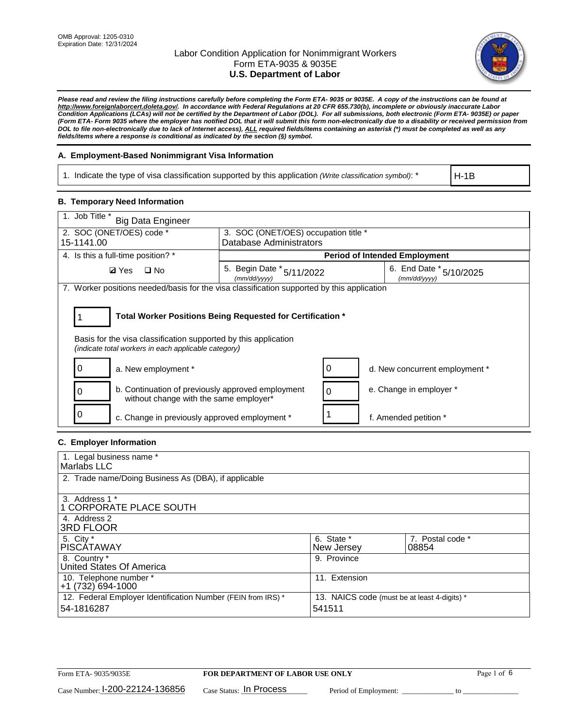

*Please read and review the filing instructions carefully before completing the Form ETA- 9035 or 9035E. A copy of the instructions can be found at http://www.foreignlaborcert.doleta.gov/. In accordance with Federal Regulations at 20 CFR 655.730(b), incomplete or obviously inaccurate Labor Condition Applications (LCAs) will not be certified by the Department of Labor (DOL). For all submissions, both electronic (Form ETA- 9035E) or paper (Form ETA- Form 9035 where the employer has notified DOL that it will submit this form non-electronically due to a disability or received permission from DOL to file non-electronically due to lack of Internet access), ALL required fields/items containing an asterisk (\*) must be completed as well as any fields/items where a response is conditional as indicated by the section (§) symbol.* 

## **A. Employment-Based Nonimmigrant Visa Information**

1. Indicate the type of visa classification supported by this application *(Write classification symbol)*: \*

H-1B

#### **B. Temporary Need Information**

| 1. Job Title *<br><b>Big Data Engineer</b>                                                                                                                                            |                                           |                                      |                                         |  |  |  |
|---------------------------------------------------------------------------------------------------------------------------------------------------------------------------------------|-------------------------------------------|--------------------------------------|-----------------------------------------|--|--|--|
| 2. SOC (ONET/OES) code *                                                                                                                                                              |                                           | 3. SOC (ONET/OES) occupation title * |                                         |  |  |  |
| 15-1141.00                                                                                                                                                                            | Database Administrators                   |                                      |                                         |  |  |  |
| 4. Is this a full-time position? *                                                                                                                                                    |                                           | <b>Period of Intended Employment</b> |                                         |  |  |  |
| $\Box$ No<br><b>Ø</b> Yes                                                                                                                                                             | 5. Begin Date * 5/11/2022<br>(mm/dd/yyyy) |                                      | 6. End Date * 5/10/2025<br>(mm/dd/yyyy) |  |  |  |
| 7. Worker positions needed/basis for the visa classification supported by this application                                                                                            |                                           |                                      |                                         |  |  |  |
| Total Worker Positions Being Requested for Certification *<br>Basis for the visa classification supported by this application<br>(indicate total workers in each applicable category) |                                           |                                      |                                         |  |  |  |
| a. New employment *                                                                                                                                                                   |                                           |                                      | d. New concurrent employment *          |  |  |  |
| b. Continuation of previously approved employment<br>without change with the same employer*                                                                                           |                                           |                                      | e. Change in employer *                 |  |  |  |
| c. Change in previously approved employment *                                                                                                                                         |                                           |                                      | f. Amended petition *                   |  |  |  |

## **C. Employer Information**

| 1. Legal business name *                                                   |                                                        |                           |
|----------------------------------------------------------------------------|--------------------------------------------------------|---------------------------|
| Marlabs LLC                                                                |                                                        |                           |
| 2. Trade name/Doing Business As (DBA), if applicable                       |                                                        |                           |
| 3. Address 1 *<br>1 CORPORATE PLACE SOUTH<br>4. Address 2                  |                                                        |                           |
| <b>3RD FLOOR</b>                                                           |                                                        |                           |
| 5. City *<br><b>PISCÁTAWAY</b>                                             | 6. State *<br>New Jersey                               | 7. Postal code *<br>08854 |
| 8. Country *<br>United States Of America                                   | 9. Province                                            |                           |
| 10. Telephone number *<br>$+1(732)694-1000$                                | 11. Extension                                          |                           |
| 12. Federal Employer Identification Number (FEIN from IRS) *<br>54-1816287 | 13. NAICS code (must be at least 4-digits) *<br>541511 |                           |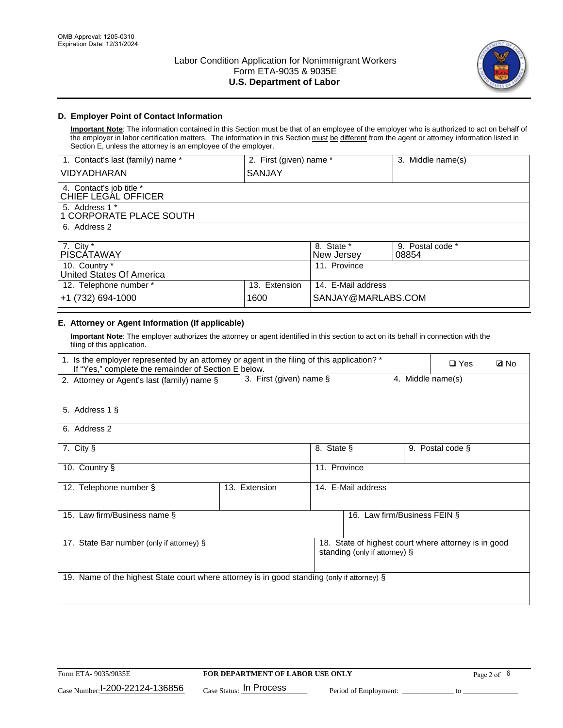

## **D. Employer Point of Contact Information**

**Important Note**: The information contained in this Section must be that of an employee of the employer who is authorized to act on behalf of the employer in labor certification matters. The information in this Section must be different from the agent or attorney information listed in Section E, unless the attorney is an employee of the employer.

| 1. Contact's last (family) name *               | 2. First (given) name * |                          | 3. Middle name(s)         |
|-------------------------------------------------|-------------------------|--------------------------|---------------------------|
| <b>VIDYADHARAN</b>                              | SANJAY                  |                          |                           |
| 4. Contact's job title *<br>CHIEF LEGAL OFFICER |                         |                          |                           |
| 5. Address 1 *<br>1 CORPORATE PLACE SOUTH       |                         |                          |                           |
| 6. Address 2                                    |                         |                          |                           |
| 7. City $*$<br><b>PISCATAWAY</b>                |                         | 8. State *<br>New Jersey | 9. Postal code *<br>08854 |
| 10. Country *<br>United States Of America       |                         | 11. Province             |                           |
| 12. Telephone number *                          | 13. Extension           | 14. E-Mail address       |                           |
| +1 (732) 694-1000                               | 1600                    | SANJAY@MARLABS.COM       |                           |

## **E. Attorney or Agent Information (If applicable)**

**Important Note**: The employer authorizes the attorney or agent identified in this section to act on its behalf in connection with the filing of this application.

| 1. Is the employer represented by an attorney or agent in the filing of this application? *<br>If "Yes," complete the remainder of Section E below. |               |                                              |                               |  | $\square$ Yes                                        | <b>ØNo</b> |
|-----------------------------------------------------------------------------------------------------------------------------------------------------|---------------|----------------------------------------------|-------------------------------|--|------------------------------------------------------|------------|
| 2. Attorney or Agent's last (family) name §                                                                                                         |               | 3. First (given) name §<br>4. Middle name(s) |                               |  |                                                      |            |
| 5. Address 1 §                                                                                                                                      |               |                                              |                               |  |                                                      |            |
| 6. Address 2                                                                                                                                        |               |                                              |                               |  |                                                      |            |
| 7. City §                                                                                                                                           |               | 8. State §                                   |                               |  | 9. Postal code §                                     |            |
| 10. Country §                                                                                                                                       |               | 11. Province                                 |                               |  |                                                      |            |
| 12. Telephone number §                                                                                                                              | 13. Extension |                                              | 14. E-Mail address            |  |                                                      |            |
| 15. Law firm/Business name §                                                                                                                        |               |                                              | 16. Law firm/Business FEIN §  |  |                                                      |            |
| 17. State Bar number (only if attorney) §                                                                                                           |               |                                              | standing (only if attorney) § |  | 18. State of highest court where attorney is in good |            |
| 19. Name of the highest State court where attorney is in good standing (only if attorney) §                                                         |               |                                              |                               |  |                                                      |            |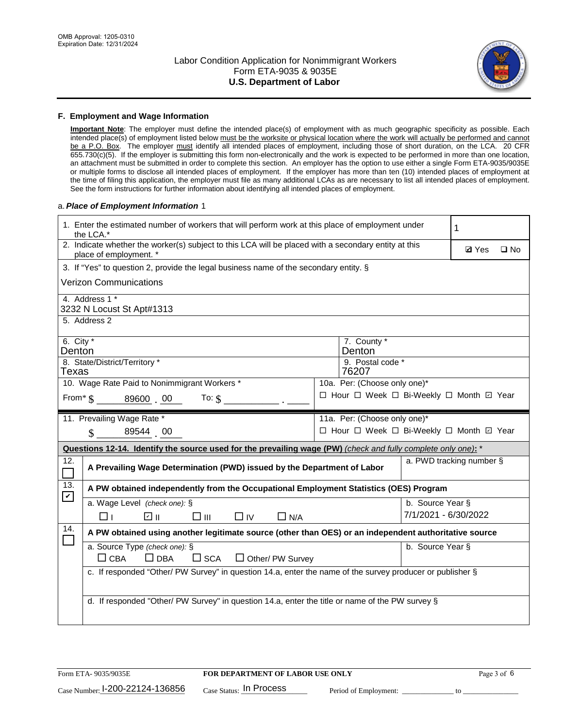

#### **F. Employment and Wage Information**

**Important Note**: The employer must define the intended place(s) of employment with as much geographic specificity as possible. Each intended place(s) of employment listed below must be the worksite or physical location where the work will actually be performed and cannot be a P.O. Box. The employer must identify all intended places of employment, including those of short duration, on the LCA. 20 CFR 655.730(c)(5). If the employer is submitting this form non-electronically and the work is expected to be performed in more than one location, an attachment must be submitted in order to complete this section. An employer has the option to use either a single Form ETA-9035/9035E or multiple forms to disclose all intended places of employment. If the employer has more than ten (10) intended places of employment at the time of filing this application, the employer must file as many additional LCAs as are necessary to list all intended places of employment. See the form instructions for further information about identifying all intended places of employment.

#### a.*Place of Employment Information* 1

|                                                                              | 1. Enter the estimated number of workers that will perform work at this place of employment under<br>the LCA.*                                                                                                                                                                                                                                                                                  |  |                                          |                      |                          |  |  |  |
|------------------------------------------------------------------------------|-------------------------------------------------------------------------------------------------------------------------------------------------------------------------------------------------------------------------------------------------------------------------------------------------------------------------------------------------------------------------------------------------|--|------------------------------------------|----------------------|--------------------------|--|--|--|
|                                                                              | 2. Indicate whether the worker(s) subject to this LCA will be placed with a secondary entity at this<br>place of employment. *                                                                                                                                                                                                                                                                  |  | <b>Ø</b> Yes                             | $\square$ No         |                          |  |  |  |
|                                                                              | 3. If "Yes" to question 2, provide the legal business name of the secondary entity. §                                                                                                                                                                                                                                                                                                           |  |                                          |                      |                          |  |  |  |
|                                                                              | <b>Verizon Communications</b>                                                                                                                                                                                                                                                                                                                                                                   |  |                                          |                      |                          |  |  |  |
|                                                                              | 4. Address 1 *<br>3232 N Locust St Apt#1313                                                                                                                                                                                                                                                                                                                                                     |  |                                          |                      |                          |  |  |  |
|                                                                              | 5. Address 2                                                                                                                                                                                                                                                                                                                                                                                    |  |                                          |                      |                          |  |  |  |
|                                                                              | 6. City *<br>7. County *<br>Denton<br>Denton                                                                                                                                                                                                                                                                                                                                                    |  |                                          |                      |                          |  |  |  |
| Texas                                                                        | 8. State/District/Territory *                                                                                                                                                                                                                                                                                                                                                                   |  | 9. Postal code *<br>76207                |                      |                          |  |  |  |
| 10. Wage Rate Paid to Nonimmigrant Workers *<br>10a. Per: (Choose only one)* |                                                                                                                                                                                                                                                                                                                                                                                                 |  |                                          |                      |                          |  |  |  |
|                                                                              | □ Hour □ Week □ Bi-Weekly □ Month □ Year<br>From $\text{\$}$ $\text{\$}$ $\text{\$}$ $\text{\$}$ $\text{\$}$ $\text{\$}$ $\text{\$}$ $\text{\$}$ $\text{\$}$ $\text{\$}$ $\text{\$}$ $\text{\$}$ $\text{\$}$ $\text{\$}$ $\text{\$}$ $\text{\$}$ $\text{\$}$ $\text{\$}$ $\text{\$}$ $\text{\$}$ $\text{\$}$ $\text{\$}$ $\text{\$}$ $\text{\$}$ $\text{\$}$ $\text{\$}$ $\text{\$}$<br>To: $$$ |  |                                          |                      |                          |  |  |  |
|                                                                              | 11. Prevailing Wage Rate *                                                                                                                                                                                                                                                                                                                                                                      |  | 11a. Per: (Choose only one)*             |                      |                          |  |  |  |
|                                                                              | 89544 00<br>$\mathbf{\hat{S}}$                                                                                                                                                                                                                                                                                                                                                                  |  | □ Hour □ Week □ Bi-Weekly □ Month ☑ Year |                      |                          |  |  |  |
|                                                                              | Questions 12-14. Identify the source used for the prevailing wage (PW) (check and fully complete only one): *                                                                                                                                                                                                                                                                                   |  |                                          |                      |                          |  |  |  |
| 12.<br>$\mathcal{L}_{\mathcal{A}}$                                           | A Prevailing Wage Determination (PWD) issued by the Department of Labor                                                                                                                                                                                                                                                                                                                         |  |                                          |                      | a. PWD tracking number § |  |  |  |
| 13.                                                                          | A PW obtained independently from the Occupational Employment Statistics (OES) Program                                                                                                                                                                                                                                                                                                           |  |                                          |                      |                          |  |  |  |
| $\blacktriangledown$                                                         | a. Wage Level (check one): §                                                                                                                                                                                                                                                                                                                                                                    |  |                                          | b. Source Year §     |                          |  |  |  |
|                                                                              | ☑ ॥<br>$\square$ IV<br>⊓⊥<br>$\square$ $\square$<br>$\Box$ N/A                                                                                                                                                                                                                                                                                                                                  |  |                                          | 7/1/2021 - 6/30/2022 |                          |  |  |  |
| 14.                                                                          | A PW obtained using another legitimate source (other than OES) or an independent authoritative source                                                                                                                                                                                                                                                                                           |  |                                          |                      |                          |  |  |  |
|                                                                              | a. Source Type (check one): §<br>b. Source Year §<br>$\Box$ CBA<br>$\Box$ DBA<br>$\square$ SCA<br>$\Box$ Other/ PW Survey                                                                                                                                                                                                                                                                       |  |                                          |                      |                          |  |  |  |
|                                                                              | c. If responded "Other/ PW Survey" in question 14.a, enter the name of the survey producer or publisher §                                                                                                                                                                                                                                                                                       |  |                                          |                      |                          |  |  |  |
|                                                                              | d. If responded "Other/ PW Survey" in question 14.a, enter the title or name of the PW survey §                                                                                                                                                                                                                                                                                                 |  |                                          |                      |                          |  |  |  |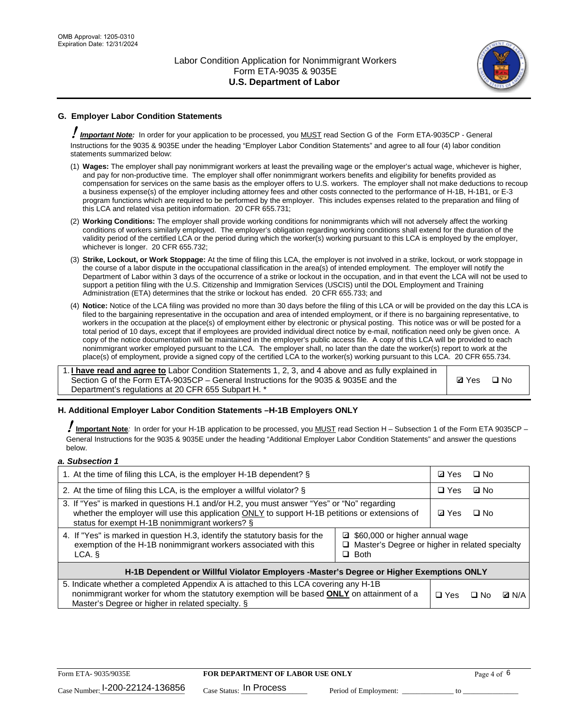

# **G. Employer Labor Condition Statements**

! *Important Note:* In order for your application to be processed, you MUST read Section G of the Form ETA-9035CP - General Instructions for the 9035 & 9035E under the heading "Employer Labor Condition Statements" and agree to all four (4) labor condition statements summarized below:

- (1) **Wages:** The employer shall pay nonimmigrant workers at least the prevailing wage or the employer's actual wage, whichever is higher, and pay for non-productive time. The employer shall offer nonimmigrant workers benefits and eligibility for benefits provided as compensation for services on the same basis as the employer offers to U.S. workers. The employer shall not make deductions to recoup a business expense(s) of the employer including attorney fees and other costs connected to the performance of H-1B, H-1B1, or E-3 program functions which are required to be performed by the employer. This includes expenses related to the preparation and filing of this LCA and related visa petition information. 20 CFR 655.731;
- (2) **Working Conditions:** The employer shall provide working conditions for nonimmigrants which will not adversely affect the working conditions of workers similarly employed. The employer's obligation regarding working conditions shall extend for the duration of the validity period of the certified LCA or the period during which the worker(s) working pursuant to this LCA is employed by the employer, whichever is longer. 20 CFR 655.732;
- (3) **Strike, Lockout, or Work Stoppage:** At the time of filing this LCA, the employer is not involved in a strike, lockout, or work stoppage in the course of a labor dispute in the occupational classification in the area(s) of intended employment. The employer will notify the Department of Labor within 3 days of the occurrence of a strike or lockout in the occupation, and in that event the LCA will not be used to support a petition filing with the U.S. Citizenship and Immigration Services (USCIS) until the DOL Employment and Training Administration (ETA) determines that the strike or lockout has ended. 20 CFR 655.733; and
- (4) **Notice:** Notice of the LCA filing was provided no more than 30 days before the filing of this LCA or will be provided on the day this LCA is filed to the bargaining representative in the occupation and area of intended employment, or if there is no bargaining representative, to workers in the occupation at the place(s) of employment either by electronic or physical posting. This notice was or will be posted for a total period of 10 days, except that if employees are provided individual direct notice by e-mail, notification need only be given once. A copy of the notice documentation will be maintained in the employer's public access file. A copy of this LCA will be provided to each nonimmigrant worker employed pursuant to the LCA. The employer shall, no later than the date the worker(s) report to work at the place(s) of employment, provide a signed copy of the certified LCA to the worker(s) working pursuant to this LCA. 20 CFR 655.734.

1. **I have read and agree to** Labor Condition Statements 1, 2, 3, and 4 above and as fully explained in Section G of the Form ETA-9035CP – General Instructions for the 9035 & 9035E and the Department's regulations at 20 CFR 655 Subpart H. \*

**Ø**Yes ロNo

#### **H. Additional Employer Labor Condition Statements –H-1B Employers ONLY**

!**Important Note***:* In order for your H-1B application to be processed, you MUST read Section H – Subsection 1 of the Form ETA 9035CP – General Instructions for the 9035 & 9035E under the heading "Additional Employer Labor Condition Statements" and answer the questions below.

#### *a. Subsection 1*

| 1. At the time of filing this LCA, is the employer H-1B dependent? §                                                                                                                                                                                            |  | ⊡ Yes | □ No      |              |  |
|-----------------------------------------------------------------------------------------------------------------------------------------------------------------------------------------------------------------------------------------------------------------|--|-------|-----------|--------------|--|
| 2. At the time of filing this LCA, is the employer a willful violator? $\S$                                                                                                                                                                                     |  |       | ⊡ No      |              |  |
| 3. If "Yes" is marked in questions H.1 and/or H.2, you must answer "Yes" or "No" regarding<br>whether the employer will use this application ONLY to support H-1B petitions or extensions of<br>status for exempt H-1B nonimmigrant workers? §                  |  |       | $\Box$ No |              |  |
| 4. If "Yes" is marked in question H.3, identify the statutory basis for the<br>■ \$60,000 or higher annual wage<br>exemption of the H-1B nonimmigrant workers associated with this<br>□ Master's Degree or higher in related specialty<br>$\Box$ Both<br>LCA. § |  |       |           |              |  |
| H-1B Dependent or Willful Violator Employers -Master's Degree or Higher Exemptions ONLY                                                                                                                                                                         |  |       |           |              |  |
| 5. Indicate whether a completed Appendix A is attached to this LCA covering any H-1B<br>nonimmigrant worker for whom the statutory exemption will be based <b>ONLY</b> on attainment of a<br>Master's Degree or higher in related specialty. §                  |  |       | ⊡ No      | <b>Q</b> N/A |  |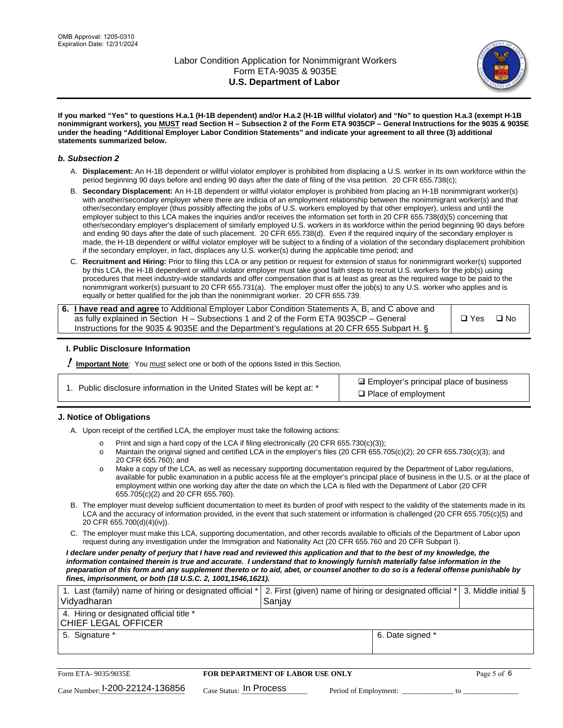

**If you marked "Yes" to questions H.a.1 (H-1B dependent) and/or H.a.2 (H-1B willful violator) and "No" to question H.a.3 (exempt H-1B nonimmigrant workers), you MUST read Section H – Subsection 2 of the Form ETA 9035CP – General Instructions for the 9035 & 9035E under the heading "Additional Employer Labor Condition Statements" and indicate your agreement to all three (3) additional statements summarized below.**

#### *b. Subsection 2*

- A. **Displacement:** An H-1B dependent or willful violator employer is prohibited from displacing a U.S. worker in its own workforce within the period beginning 90 days before and ending 90 days after the date of filing of the visa petition. 20 CFR 655.738(c);
- B. **Secondary Displacement:** An H-1B dependent or willful violator employer is prohibited from placing an H-1B nonimmigrant worker(s) with another/secondary employer where there are indicia of an employment relationship between the nonimmigrant worker(s) and that other/secondary employer (thus possibly affecting the jobs of U.S. workers employed by that other employer), unless and until the employer subject to this LCA makes the inquiries and/or receives the information set forth in 20 CFR 655.738(d)(5) concerning that other/secondary employer's displacement of similarly employed U.S. workers in its workforce within the period beginning 90 days before and ending 90 days after the date of such placement. 20 CFR 655.738(d). Even if the required inquiry of the secondary employer is made, the H-1B dependent or willful violator employer will be subject to a finding of a violation of the secondary displacement prohibition if the secondary employer, in fact, displaces any U.S. worker(s) during the applicable time period; and
- C. **Recruitment and Hiring:** Prior to filing this LCA or any petition or request for extension of status for nonimmigrant worker(s) supported by this LCA, the H-1B dependent or willful violator employer must take good faith steps to recruit U.S. workers for the job(s) using procedures that meet industry-wide standards and offer compensation that is at least as great as the required wage to be paid to the nonimmigrant worker(s) pursuant to 20 CFR 655.731(a). The employer must offer the job(s) to any U.S. worker who applies and is equally or better qualified for the job than the nonimmigrant worker. 20 CFR 655.739.

| 6. I have read and agree to Additional Employer Labor Condition Statements A, B, and C above and |       |           |
|--------------------------------------------------------------------------------------------------|-------|-----------|
| as fully explained in Section H – Subsections 1 and 2 of the Form ETA 9035CP – General           | □ Yes | $\Box$ No |
| Instructions for the 9035 & 9035E and the Department's regulations at 20 CFR 655 Subpart H. §    |       |           |

#### **I. Public Disclosure Information**

! **Important Note***:* You must select one or both of the options listed in this Section.

| 1. Public disclosure information in the United States will be kept at: * |  |  |  |  |  |  |
|--------------------------------------------------------------------------|--|--|--|--|--|--|
|--------------------------------------------------------------------------|--|--|--|--|--|--|

**sqrt** Employer's principal place of business □ Place of employment

#### **J. Notice of Obligations**

A. Upon receipt of the certified LCA, the employer must take the following actions:

- o Print and sign a hard copy of the LCA if filing electronically (20 CFR 655.730(c)(3));<br>
Maintain the original signed and certified LCA in the employer's files (20 CFR 655.7
- Maintain the original signed and certified LCA in the employer's files (20 CFR 655.705(c)(2); 20 CFR 655.730(c)(3); and 20 CFR 655.760); and
- o Make a copy of the LCA, as well as necessary supporting documentation required by the Department of Labor regulations, available for public examination in a public access file at the employer's principal place of business in the U.S. or at the place of employment within one working day after the date on which the LCA is filed with the Department of Labor (20 CFR 655.705(c)(2) and 20 CFR 655.760).
- B. The employer must develop sufficient documentation to meet its burden of proof with respect to the validity of the statements made in its LCA and the accuracy of information provided, in the event that such statement or information is challenged (20 CFR 655.705(c)(5) and 20 CFR 655.700(d)(4)(iv)).
- C. The employer must make this LCA, supporting documentation, and other records available to officials of the Department of Labor upon request during any investigation under the Immigration and Nationality Act (20 CFR 655.760 and 20 CFR Subpart I).

*I declare under penalty of perjury that I have read and reviewed this application and that to the best of my knowledge, the*  information contained therein is true and accurate. I understand that to knowingly furnish materially false information in the *preparation of this form and any supplement thereto or to aid, abet, or counsel another to do so is a federal offense punishable by fines, imprisonment, or both (18 U.S.C. 2, 1001,1546,1621).*

| 1. Last (family) name of hiring or designated official *   2. First (given) name of hiring or designated official *   3. Middle initial §<br>Vidyadharan | l Saniav         |  |
|----------------------------------------------------------------------------------------------------------------------------------------------------------|------------------|--|
| 4. Hiring or designated official title *<br>CHIEF LEGAL OFFICER                                                                                          |                  |  |
| 5. Signature *                                                                                                                                           | 6. Date signed * |  |